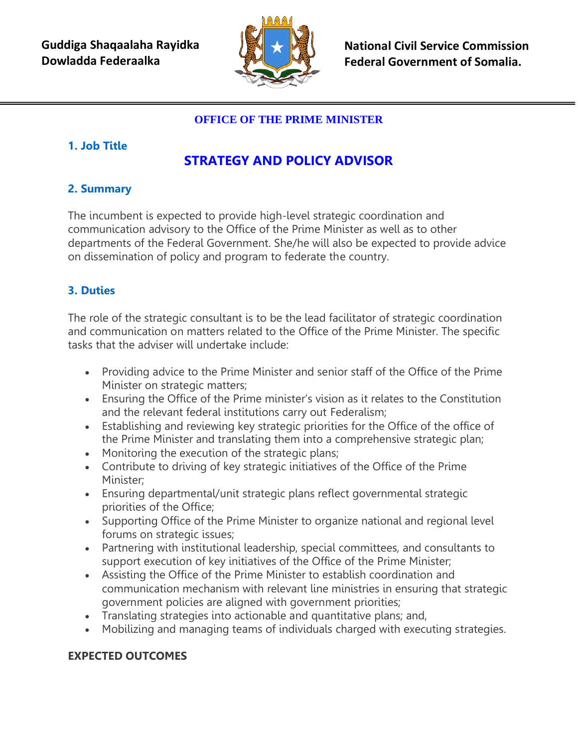

**National Civil Service Commission Federal Government of Somalia.** 

## **OFFICE OF THE PRIME MINISTER**

## **1. Job Title**

# **STRATEGY AND POLICY ADVISOR**

## **2. Summary**

The incumbent is expected to provide high-level strategic coordination and communication advisory to the Office of the Prime Minister as well as to other departments of the Federal Government. She/he will also be expected to provide advice on dissemination of policy and program to federate the country.

# **3. Duties**

The role of the strategic consultant is to be the lead facilitator of strategic coordination and communication on matters related to the Office of the Prime Minister. The specific tasks that the adviser will undertake include:

- Providing advice to the Prime Minister and senior staff of the Office of the Prime Minister on strategic matters;
- Ensuring the Office of the Prime minister's vision as it relates to the Constitution and the relevant federal institutions carry out Federalism;
- Establishing and reviewing key strategic priorities for the Office of the office of the Prime Minister and translating them into a comprehensive strategic plan;
- Monitoring the execution of the strategic plans;
- Contribute to driving of key strategic initiatives of the Office of the Prime Minister;
- Ensuring departmental/unit strategic plans reflect governmental strategic priorities of the Office;
- Supporting Office of the Prime Minister to organize national and regional level forums on strategic issues;
- Partnering with institutional leadership, special committees, and consultants to support execution of key initiatives of the Office of the Prime Minister;
- Assisting the Office of the Prime Minister to establish coordination and communication mechanism with relevant line ministries in ensuring that strategic government policies are aligned with government priorities;
- Translating strategies into actionable and quantitative plans; and,
- Mobilizing and managing teams of individuals charged with executing strategies.

### **EXPECTED OUTCOMES**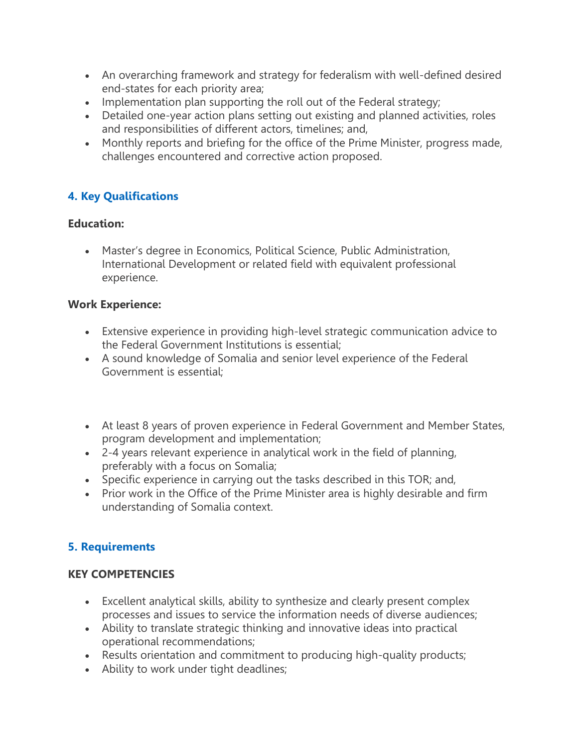- An overarching framework and strategy for federalism with well-defined desired end-states for each priority area;
- Implementation plan supporting the roll out of the Federal strategy;
- Detailed one-year action plans setting out existing and planned activities, roles and responsibilities of different actors, timelines; and,
- Monthly reports and briefing for the office of the Prime Minister, progress made, challenges encountered and corrective action proposed.

## **4. Key Qualifications**

#### **Education:**

 Master's degree in Economics, Political Science, Public Administration, International Development or related field with equivalent professional experience.

#### **Work Experience:**

- Extensive experience in providing high-level strategic communication advice to the Federal Government Institutions is essential;
- A sound knowledge of Somalia and senior level experience of the Federal Government is essential;
- At least 8 years of proven experience in Federal Government and Member States, program development and implementation;
- 2-4 years relevant experience in analytical work in the field of planning, preferably with a focus on Somalia;
- Specific experience in carrying out the tasks described in this TOR; and,
- Prior work in the Office of the Prime Minister area is highly desirable and firm understanding of Somalia context.

### **5. Requirements**

#### **KEY COMPETENCIES**

- Excellent analytical skills, ability to synthesize and clearly present complex processes and issues to service the information needs of diverse audiences;
- Ability to translate strategic thinking and innovative ideas into practical operational recommendations;
- Results orientation and commitment to producing high-quality products;
- Ability to work under tight deadlines;